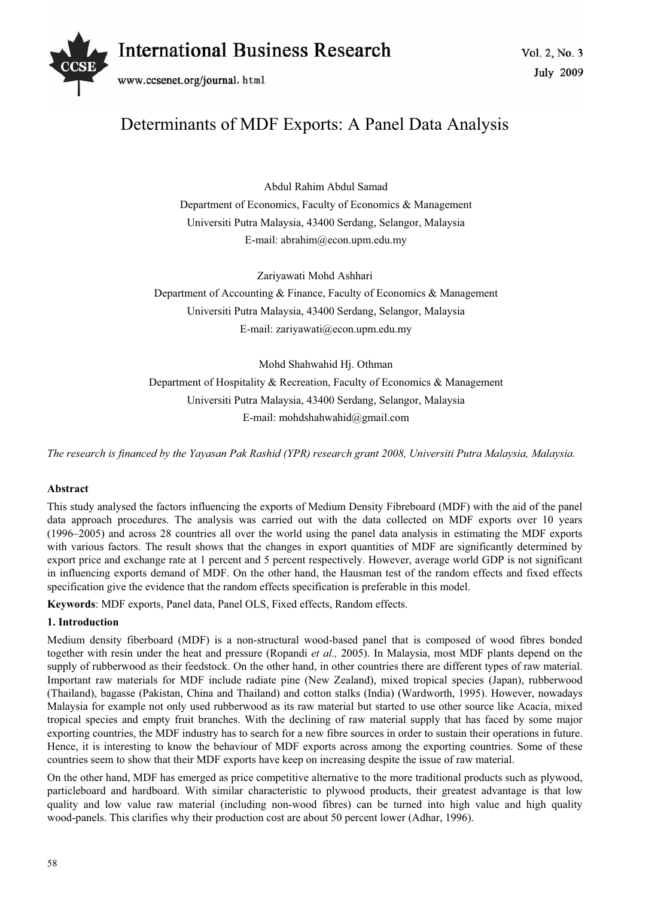# Vol. 2, No. 3 *International Business Research*



www.ccsenet.org/journal.html

# Determinants of MDF Exports: A Panel Data Analysis

Abdul Rahim Abdul Samad Department of Economics, Faculty of Economics & Management Universiti Putra Malaysia, 43400 Serdang, Selangor, Malaysia E-mail: abrahim@econ.upm.edu.my

Zariyawati Mohd Ashhari Department of Accounting & Finance, Faculty of Economics & Management Universiti Putra Malaysia, 43400 Serdang, Selangor, Malaysia E-mail: zariyawati@econ.upm.edu.my

Mohd Shahwahid Hj. Othman Department of Hospitality & Recreation, Faculty of Economics & Management Universiti Putra Malaysia, 43400 Serdang, Selangor, Malaysia E-mail: mohdshahwahid@gmail.com

*The research is financed by the Yayasan Pak Rashid (YPR) research grant 2008, Universiti Putra Malaysia, Malaysia.* 

# **Abstract**

This study analysed the factors influencing the exports of Medium Density Fibreboard (MDF) with the aid of the panel data approach procedures. The analysis was carried out with the data collected on MDF exports over 10 years (1996–2005) and across 28 countries all over the world using the panel data analysis in estimating the MDF exports with various factors. The result shows that the changes in export quantities of MDF are significantly determined by export price and exchange rate at 1 percent and 5 percent respectively. However, average world GDP is not significant in influencing exports demand of MDF. On the other hand, the Hausman test of the random effects and fixed effects specification give the evidence that the random effects specification is preferable in this model.

**Keywords**: MDF exports, Panel data, Panel OLS, Fixed effects, Random effects.

# **1. Introduction**

Medium density fiberboard (MDF) is a non-structural wood-based panel that is composed of wood fibres bonded together with resin under the heat and pressure (Ropandi *et al.,* 2005). In Malaysia, most MDF plants depend on the supply of rubberwood as their feedstock. On the other hand, in other countries there are different types of raw material. Important raw materials for MDF include radiate pine (New Zealand), mixed tropical species (Japan), rubberwood (Thailand), bagasse (Pakistan, China and Thailand) and cotton stalks (India) (Wardworth, 1995). However, nowadays Malaysia for example not only used rubberwood as its raw material but started to use other source like Acacia, mixed tropical species and empty fruit branches. With the declining of raw material supply that has faced by some major exporting countries, the MDF industry has to search for a new fibre sources in order to sustain their operations in future. Hence, it is interesting to know the behaviour of MDF exports across among the exporting countries. Some of these countries seem to show that their MDF exports have keep on increasing despite the issue of raw material.

On the other hand, MDF has emerged as price competitive alternative to the more traditional products such as plywood, particleboard and hardboard. With similar characteristic to plywood products, their greatest advantage is that low quality and low value raw material (including non-wood fibres) can be turned into high value and high quality wood-panels. This clarifies why their production cost are about 50 percent lower (Adhar, 1996).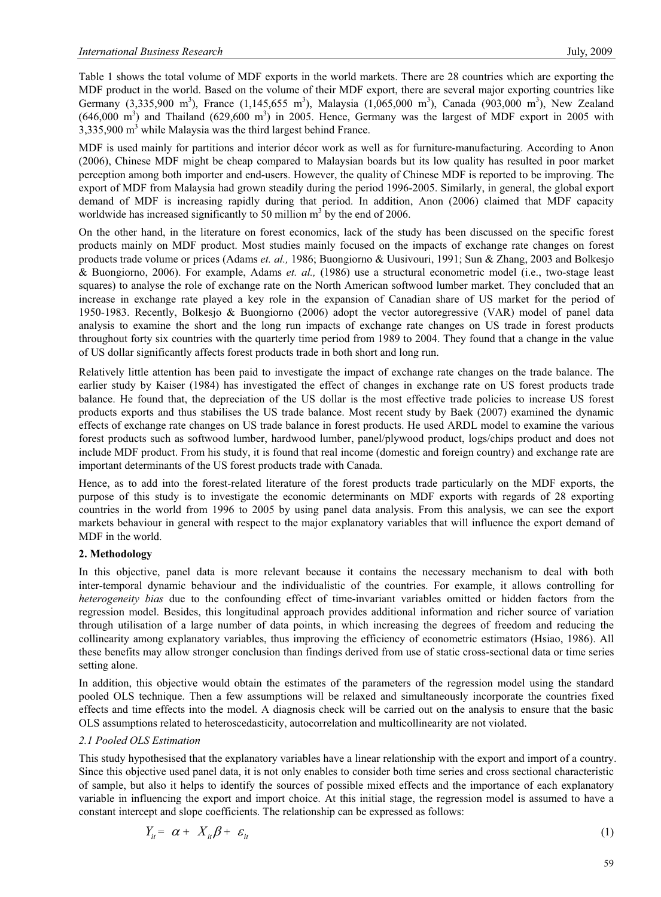Table 1 shows the total volume of MDF exports in the world markets. There are 28 countries which are exporting the MDF product in the world. Based on the volume of their MDF export, there are several major exporting countries like Germany (3,335,900 m<sup>3</sup>), France (1,145,655 m<sup>3</sup>), Malaysia (1,065,000 m<sup>3</sup>), Canada (903,000 m<sup>3</sup>), New Zealand  $(646,000 \text{ m}^3)$  and Thailand  $(629,600 \text{ m}^3)$  in 2005. Hence, Germany was the largest of MDF export in 2005 with  $3,335,900$  m<sup>3</sup> while Malaysia was the third largest behind France.

MDF is used mainly for partitions and interior décor work as well as for furniture-manufacturing. According to Anon (2006), Chinese MDF might be cheap compared to Malaysian boards but its low quality has resulted in poor market perception among both importer and end-users. However, the quality of Chinese MDF is reported to be improving. The export of MDF from Malaysia had grown steadily during the period 1996-2005. Similarly, in general, the global export demand of MDF is increasing rapidly during that period. In addition, Anon (2006) claimed that MDF capacity worldwide has increased significantly to 50 million  $m<sup>3</sup>$  by the end of 2006.

On the other hand, in the literature on forest economics, lack of the study has been discussed on the specific forest products mainly on MDF product. Most studies mainly focused on the impacts of exchange rate changes on forest products trade volume or prices (Adams *et. al.,* 1986; Buongiorno & Uusivouri, 1991; Sun & Zhang, 2003 and Bolkesjo & Buongiorno, 2006). For example, Adams *et. al.,* (1986) use a structural econometric model (i.e., two-stage least squares) to analyse the role of exchange rate on the North American softwood lumber market. They concluded that an increase in exchange rate played a key role in the expansion of Canadian share of US market for the period of 1950-1983. Recently, Bolkesjo & Buongiorno (2006) adopt the vector autoregressive (VAR) model of panel data analysis to examine the short and the long run impacts of exchange rate changes on US trade in forest products throughout forty six countries with the quarterly time period from 1989 to 2004. They found that a change in the value of US dollar significantly affects forest products trade in both short and long run.

Relatively little attention has been paid to investigate the impact of exchange rate changes on the trade balance. The earlier study by Kaiser (1984) has investigated the effect of changes in exchange rate on US forest products trade balance. He found that, the depreciation of the US dollar is the most effective trade policies to increase US forest products exports and thus stabilises the US trade balance. Most recent study by Baek (2007) examined the dynamic effects of exchange rate changes on US trade balance in forest products. He used ARDL model to examine the various forest products such as softwood lumber, hardwood lumber, panel/plywood product, logs/chips product and does not include MDF product. From his study, it is found that real income (domestic and foreign country) and exchange rate are important determinants of the US forest products trade with Canada.

Hence, as to add into the forest-related literature of the forest products trade particularly on the MDF exports, the purpose of this study is to investigate the economic determinants on MDF exports with regards of 28 exporting countries in the world from 1996 to 2005 by using panel data analysis. From this analysis, we can see the export markets behaviour in general with respect to the major explanatory variables that will influence the export demand of MDF in the world.

# **2. Methodology**

In this objective, panel data is more relevant because it contains the necessary mechanism to deal with both inter-temporal dynamic behaviour and the individualistic of the countries. For example, it allows controlling for *heterogeneity bias* due to the confounding effect of time-invariant variables omitted or hidden factors from the regression model. Besides, this longitudinal approach provides additional information and richer source of variation through utilisation of a large number of data points, in which increasing the degrees of freedom and reducing the collinearity among explanatory variables, thus improving the efficiency of econometric estimators (Hsiao, 1986). All these benefits may allow stronger conclusion than findings derived from use of static cross-sectional data or time series setting alone.

In addition, this objective would obtain the estimates of the parameters of the regression model using the standard pooled OLS technique. Then a few assumptions will be relaxed and simultaneously incorporate the countries fixed effects and time effects into the model. A diagnosis check will be carried out on the analysis to ensure that the basic OLS assumptions related to heteroscedasticity, autocorrelation and multicollinearity are not violated.

# *2.1 Pooled OLS Estimation*

This study hypothesised that the explanatory variables have a linear relationship with the export and import of a country. Since this objective used panel data, it is not only enables to consider both time series and cross sectional characteristic of sample, but also it helps to identify the sources of possible mixed effects and the importance of each explanatory variable in influencing the export and import choice. At this initial stage, the regression model is assumed to have a constant intercept and slope coefficients. The relationship can be expressed as follows:

$$
Y_{it} = \alpha + X_{it} \beta + \varepsilon_{it} \tag{1}
$$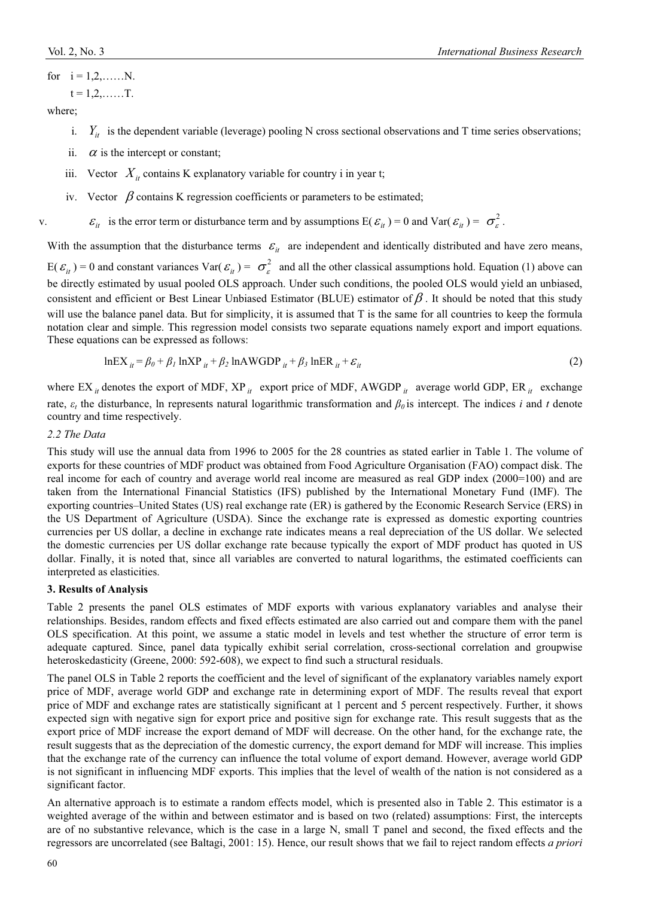for 
$$
i = 1, 2, \dots, N
$$
.

$$
t=1,2,\ldots\ldots T.
$$

where;

- i.  $Y_{it}$  is the dependent variable (leverage) pooling N cross sectional observations and T time series observations;
- ii.  $\alpha$  is the intercept or constant;
- iii. Vector  $X_{it}$  contains K explanatory variable for country i in year t;
- iv. Vector  $\beta$  contains K regression coefficients or parameters to be estimated;

v.  $\epsilon_{it}$  is the error term or disturbance term and by assumptions  $E(\epsilon_{it}) = 0$  and  $Var(\epsilon_{it}) = \sigma_{\epsilon}^2$ .

With the assumption that the disturbance terms  $\varepsilon_{it}$  are independent and identically distributed and have zero means,  $E(\mathcal{E}_{it}) = 0$  and constant variances Var( $\mathcal{E}_{it}$ ) =  $\sigma_{\varepsilon}^2$  and all the other classical assumptions hold. Equation (1) above can be directly estimated by usual pooled OLS approach. Under such conditions, the pooled OLS would yield an unbiased, consistent and efficient or Best Linear Unbiased Estimator (BLUE) estimator of  $\beta$ . It should be noted that this study will use the balance panel data. But for simplicity, it is assumed that T is the same for all countries to keep the formula notation clear and simple. This regression model consists two separate equations namely export and import equations. These equations can be expressed as follows:

$$
lnEX_{it} = \beta_0 + \beta_1 lnXP_{it} + \beta_2 lnAWGDP_{it} + \beta_3 lnER_{it} + \varepsilon_{it}
$$
\n(2)

where EX  $_{it}$  denotes the export of MDF, XP  $_{it}$  export price of MDF, AWGDP  $_{it}$  average world GDP, ER  $_{it}$  exchange rate,  $\varepsilon_t$  the disturbance, ln represents natural logarithmic transformation and  $\beta_0$  is intercept. The indices *i* and *t* denote country and time respectively.

#### *2.2 The Data*

This study will use the annual data from 1996 to 2005 for the 28 countries as stated earlier in Table 1. The volume of exports for these countries of MDF product was obtained from Food Agriculture Organisation (FAO) compact disk. The real income for each of country and average world real income are measured as real GDP index (2000=100) and are taken from the International Financial Statistics (IFS) published by the International Monetary Fund (IMF). The exporting countries–United States (US) real exchange rate (ER) is gathered by the Economic Research Service (ERS) in the US Department of Agriculture (USDA). Since the exchange rate is expressed as domestic exporting countries currencies per US dollar, a decline in exchange rate indicates means a real depreciation of the US dollar. We selected the domestic currencies per US dollar exchange rate because typically the export of MDF product has quoted in US dollar. Finally, it is noted that, since all variables are converted to natural logarithms, the estimated coefficients can interpreted as elasticities.

# **3. Results of Analysis**

Table 2 presents the panel OLS estimates of MDF exports with various explanatory variables and analyse their relationships. Besides, random effects and fixed effects estimated are also carried out and compare them with the panel OLS specification. At this point, we assume a static model in levels and test whether the structure of error term is adequate captured. Since, panel data typically exhibit serial correlation, cross-sectional correlation and groupwise heteroskedasticity (Greene, 2000: 592-608), we expect to find such a structural residuals.

The panel OLS in Table 2 reports the coefficient and the level of significant of the explanatory variables namely export price of MDF, average world GDP and exchange rate in determining export of MDF. The results reveal that export price of MDF and exchange rates are statistically significant at 1 percent and 5 percent respectively. Further, it shows expected sign with negative sign for export price and positive sign for exchange rate. This result suggests that as the export price of MDF increase the export demand of MDF will decrease. On the other hand, for the exchange rate, the result suggests that as the depreciation of the domestic currency, the export demand for MDF will increase. This implies that the exchange rate of the currency can influence the total volume of export demand. However, average world GDP is not significant in influencing MDF exports. This implies that the level of wealth of the nation is not considered as a significant factor.

An alternative approach is to estimate a random effects model, which is presented also in Table 2. This estimator is a weighted average of the within and between estimator and is based on two (related) assumptions: First, the intercepts are of no substantive relevance, which is the case in a large N, small T panel and second, the fixed effects and the regressors are uncorrelated (see Baltagi, 2001: 15). Hence, our result shows that we fail to reject random effects *a priori*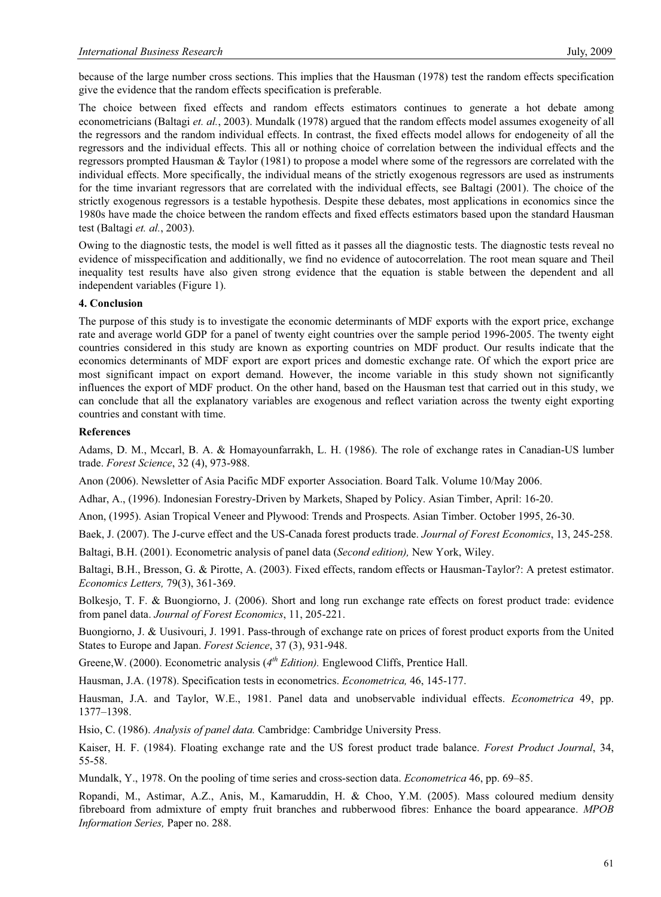because of the large number cross sections. This implies that the Hausman (1978) test the random effects specification give the evidence that the random effects specification is preferable.

The choice between fixed effects and random effects estimators continues to generate a hot debate among econometricians (Baltagi *et. al.*, 2003). Mundalk (1978) argued that the random effects model assumes exogeneity of all the regressors and the random individual effects. In contrast, the fixed effects model allows for endogeneity of all the regressors and the individual effects. This all or nothing choice of correlation between the individual effects and the regressors prompted Hausman & Taylor (1981) to propose a model where some of the regressors are correlated with the individual effects. More specifically, the individual means of the strictly exogenous regressors are used as instruments for the time invariant regressors that are correlated with the individual effects, see Baltagi (2001). The choice of the strictly exogenous regressors is a testable hypothesis. Despite these debates, most applications in economics since the 1980s have made the choice between the random effects and fixed effects estimators based upon the standard Hausman test (Baltagi *et. al.*, 2003).

Owing to the diagnostic tests, the model is well fitted as it passes all the diagnostic tests. The diagnostic tests reveal no evidence of misspecification and additionally, we find no evidence of autocorrelation. The root mean square and Theil inequality test results have also given strong evidence that the equation is stable between the dependent and all independent variables (Figure 1).

#### **4. Conclusion**

The purpose of this study is to investigate the economic determinants of MDF exports with the export price, exchange rate and average world GDP for a panel of twenty eight countries over the sample period 1996-2005. The twenty eight countries considered in this study are known as exporting countries on MDF product. Our results indicate that the economics determinants of MDF export are export prices and domestic exchange rate. Of which the export price are most significant impact on export demand. However, the income variable in this study shown not significantly influences the export of MDF product. On the other hand, based on the Hausman test that carried out in this study, we can conclude that all the explanatory variables are exogenous and reflect variation across the twenty eight exporting countries and constant with time.

#### **References**

Adams, D. M., Mccarl, B. A. & Homayounfarrakh, L. H. (1986). The role of exchange rates in Canadian-US lumber trade. *Forest Science*, 32 (4), 973-988.

Anon (2006). Newsletter of Asia Pacific MDF exporter Association. Board Talk. Volume 10/May 2006.

Adhar, A., (1996). Indonesian Forestry-Driven by Markets, Shaped by Policy. Asian Timber, April: 16-20.

Anon, (1995). Asian Tropical Veneer and Plywood: Trends and Prospects. Asian Timber. October 1995, 26-30.

Baek, J. (2007). The J-curve effect and the US-Canada forest products trade. *Journal of Forest Economics*, 13, 245-258.

Baltagi, B.H. (2001). Econometric analysis of panel data (*Second edition),* New York, Wiley.

Baltagi, B.H., Bresson, G. & Pirotte, A. (2003). Fixed effects, random effects or Hausman-Taylor?: A pretest estimator. *Economics Letters,* 79(3), 361-369.

Bolkesjo, T. F. & Buongiorno, J. (2006). Short and long run exchange rate effects on forest product trade: evidence from panel data. *Journal of Forest Economics*, 11, 205-221.

Buongiorno, J. & Uusivouri, J. 1991. Pass-through of exchange rate on prices of forest product exports from the United States to Europe and Japan. *Forest Science*, 37 (3), 931-948.

Greene,W. (2000). Econometric analysis (*4th Edition).* Englewood Cliffs, Prentice Hall.

Hausman, J.A. (1978). Specification tests in econometrics. *Econometrica,* 46, 145-177.

Hausman, J.A. and Taylor, W.E., 1981. Panel data and unobservable individual effects. *Econometrica* 49, pp. 1377–1398.

Hsio, C. (1986). *Analysis of panel data.* Cambridge: Cambridge University Press.

Kaiser, H. F. (1984). Floating exchange rate and the US forest product trade balance. *Forest Product Journal*, 34, 55-58.

Mundalk, Y., 1978. On the pooling of time series and cross-section data. *Econometrica* 46, pp. 69–85.

Ropandi, M., Astimar, A.Z., Anis, M., Kamaruddin, H. & Choo, Y.M. (2005). Mass coloured medium density fibreboard from admixture of empty fruit branches and rubberwood fibres: Enhance the board appearance. *MPOB Information Series,* Paper no. 288.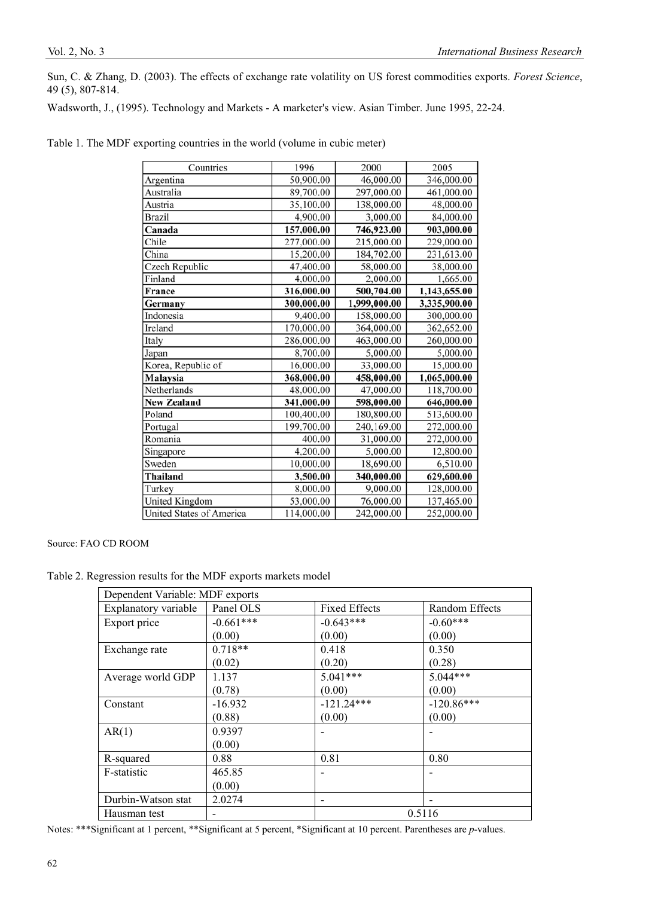Sun, C. & Zhang, D. (2003). The effects of exchange rate volatility on US forest commodities exports. *Forest Science*, 49 (5), 807-814.

Wadsworth, J., (1995). Technology and Markets - A marketer's view. Asian Timber. June 1995, 22-24.

| Table 1. The MDF exporting countries in the world (volume in cubic meter) |  |  |  |  |  |
|---------------------------------------------------------------------------|--|--|--|--|--|
|---------------------------------------------------------------------------|--|--|--|--|--|

| Countries                       | 1996       | 2000         | 2005         |
|---------------------------------|------------|--------------|--------------|
| Argentina                       | 50,900.00  | 46,000.00    | 346,000.00   |
| Australia                       | 89,700.00  | 297,000.00   | 461,000.00   |
| Austria                         | 35,100.00  | 138,000.00   | 48,000.00    |
| <b>Brazil</b>                   | 4,900.00   | 3,000.00     | 84,000.00    |
| Canada                          | 157,000.00 | 746,923.00   | 903,000.00   |
| Chile                           | 277,000.00 | 215,000.00   | 229,000.00   |
| China                           | 15,200.00  | 184,702.00   | 231,613.00   |
| Czech Republic                  | 47,400.00  | 58,000.00    | 38,000.00    |
| Finland                         | 4,000.00   | 2,000.00     | 1,665.00     |
| France                          | 316,000.00 | 500,704.00   | 1,143,655.00 |
| Germany                         | 300,000.00 | 1,999,000.00 | 3,335,900.00 |
| Indonesia                       | 9,400.00   | 158,000.00   | 300,000.00   |
| Ireland                         | 170,000.00 | 364,000.00   | 362,652.00   |
| Italy                           | 286,000.00 | 463,000.00   | 260,000.00   |
| Japan                           | 8,700.00   | 5,000.00     | 5,000.00     |
| Korea, Republic of              | 16,000.00  | 33,000.00    | 15,000.00    |
| Malaysia                        | 368,000.00 | 458,000.00   | 1,065,000.00 |
| Netherlands                     | 48,000.00  | 47,000.00    | 118,700.00   |
| <b>New Zealand</b>              | 341,000.00 | 598,000.00   | 646,000.00   |
| Poland                          | 100,400.00 | 180,800.00   | 513,600.00   |
| Portugal                        | 199,700.00 | 240,169.00   | 272,000.00   |
| Romania                         | 400.00     | 31,000.00    | 272,000.00   |
| Singapore                       | 4,200.00   | 5,000.00     | 12,800.00    |
| Sweden                          | 10,000.00  | 18,690.00    | 6,510.00     |
| Thailand                        | 3,500.00   | 340,000.00   | 629,600.00   |
| Turkey                          | 8,000.00   | 9,000.00     | 128,000.00   |
| <b>United Kingdom</b>           | 53,000.00  | 76,000.00    | 137,465.00   |
| <b>United States of America</b> | 114,000.00 | 242,000.00   | 252,000.00   |

Source: FAO CD ROOM

Table 2. Regression results for the MDF exports markets model

| Dependent Variable: MDF exports |             |                      |                |  |  |
|---------------------------------|-------------|----------------------|----------------|--|--|
| Explanatory variable            | Panel OLS   | <b>Fixed Effects</b> | Random Effects |  |  |
| Export price                    | $-0.661***$ | $-0.643***$          | $-0.60***$     |  |  |
|                                 | (0.00)      | (0.00)               | (0.00)         |  |  |
| Exchange rate                   | $0.718**$   | 0.418                | 0.350          |  |  |
|                                 | (0.02)      | (0.20)               | (0.28)         |  |  |
| Average world GDP               | 1.137       | $5.041***$           | $5.044***$     |  |  |
|                                 | (0.78)      | (0.00)               | (0.00)         |  |  |
| Constant                        | $-16.932$   | $-121.24***$         | $-120.86***$   |  |  |
|                                 | (0.88)      | (0.00)               | (0.00)         |  |  |
| AR(1)                           | 0.9397      |                      |                |  |  |
|                                 | (0.00)      |                      |                |  |  |
| R-squared                       | 0.88        | 0.81                 | 0.80           |  |  |
| F-statistic                     | 465.85      |                      |                |  |  |
|                                 | (0.00)      |                      |                |  |  |
| Durbin-Watson stat              | 2.0274      |                      |                |  |  |
| Hausman test                    |             | 0.5116               |                |  |  |

Notes: \*\*\*Significant at 1 percent, \*\*Significant at 5 percent, \*Significant at 10 percent. Parentheses are *p*-values.